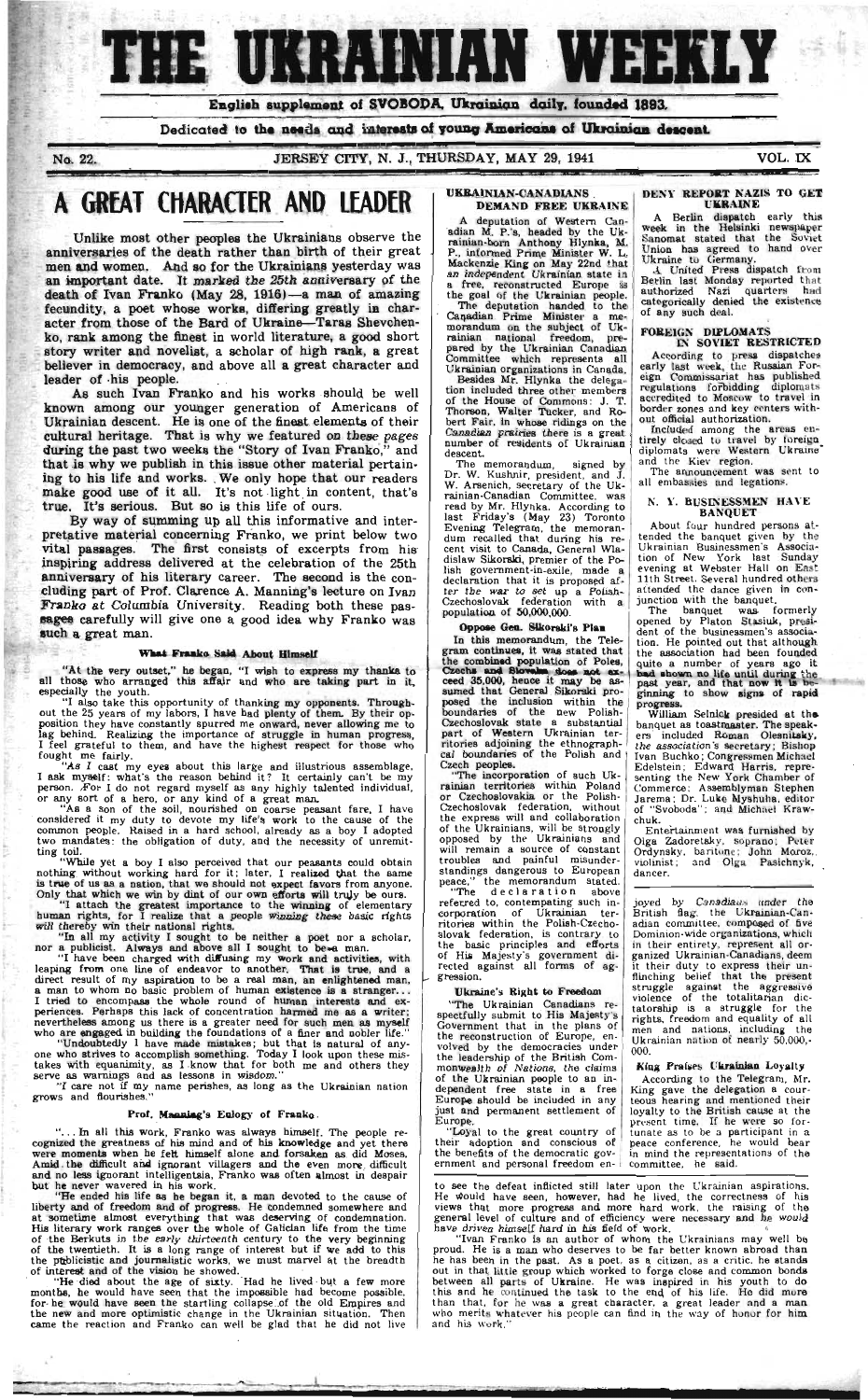# **THE UKRAINIAN WEEKLY**

**English supplement o! SVOBODA, Ukrainian daily, founded 1893.** 

Dedicated to the needs and interests of young Americans of Ukrainian descent.

**No. 22. JERSEY CITY, N. J., THURSDAY, MAY 29, 1941 VOL. IX** 

# A GREAT CHARACTER AND LEADER

**Unlike most other peoplee the Ukrainians observe the anniversaries of the death rather than birth of their great men and women. And so for the Ukrainians yesterday was an important date. It marked the 25th anniversary of the death of Ivan Franko (May 28, 1916)— a man of amazing fecundity, a poet whose works, differing greatly in character from those of the Bard of Ukraine—Taras Shevchenko. rank among the finest in world literature, a good short story writer and novelist, a scholar of high rank, a great believer in democracy, and above all a great character and leader of ·his people.** 

"At the very outset," he began, "I wish to express my thanks to all those who arranged this affair and who are taking part in it, especially the youth.

**As such Ivan Franko and his works should be well known among our younger generation of Americans of Ukrainian descent. He is one of the finest elements of their cultural heritage. That is why we featured on these pages during the past two weeks the "Story of Ivan Franko," and that is why we publish in this issue other material pertaining to his life and works. We only hope that our readers make good use of it all. It's not light in content, that's true. It's serious. But so is this life of ours.** 

"I also take this opportunity of thanking my opponents. Throughout the 25 years of my labors, I have had plenty of them. By their opposition they have constantly spurred me onward, never allowing me to lag behind. Realizing the importance of struggle in human progress, I feel grateful to them, and have the highest respect for those who fought me fairly.

**By way of summing up all this informative and interpretative material concerning Franko, we print below two vital passages. The first consists of excerpts from his inspiring address delivered at the celebration of the 25th anniversary of his literary career. The second is the concluding part of Prof. Clarence A. Manning's lecture on Ivan Franko at Columbia University. Reading both these passages carefully will give one a good idea why Franko was such a great man.** 

"I attach the greatest importance to the winning of elementary human rights, for I realize that a people winning these basic rights will thereby win their national rights.

"In all my activity I sought to be neither a poet nor a scholar, nor a publicist. Always and above all I sought to be a man.

"I have been charged with diffusing my work and activities, with leaping from one line of endeavor to another. That is true, and a direct result of my aspiration to be a real man, an enlightened man, a man to whom no basic problem of human existence is s stranger.. . I tried to encompass the whole round of human interests and experiences. Perhaps this lack of concentration harmed me as a writer; nevertheless among us there is a greater need for such men as myself who are engaged in building the foundations of a finer and nobler life."

Undoubtedly I have made mistakes; but that is natural of anyone who strives to accomplish something. Today I look upon these misakes with equanimity, as I know that for both me and others they serve as warnings and as lessons in wisdom."

I care not if my name perishes, as long as the Ukrainian nation rows and nourishes.

#### What Franko Said **About Himself**

"As I cast my eyes about this large and illustrious assemblage, I ask myself: what's the reason behind it? It certainly can't be my person. For I do not regard myself as any highly talented individual, or any sort of a hero, or any kind of a great man.

"As a son of the soil, nourished on coarse peasant fare, I have considered it my duty to devote my life's work to the cause of the common people. Raised in a hard school, already as a boy I adopted two mandates: the obligation of duty, and the necessity of unremitting toil.

"While yet a boy I also perceived that our peasants could obtain nothing without working hard for it; later, I realized that the same is true of us as a nation, that we should not expect favors from anyone. Only that which we win by dint of our own efforts will truly be ours.

#### **UKRAINIAN-CANADIANS DEMAND FREE UKRAINE**

Besides Mr. Hlynka the delegation included three other members of the House of Commons: J. T. Thorson, Walter Tucker, and Robert Fair, in whose ridings on the Canadian prairies there is a great number of residents of Ukrainian descent.

"The declaration above referred to, contempating such incorporation of Ukrainian territories within the Polish-Czechoslovak federation, is contrary to the basic principles and efforts of His Majesty's government directed against all forms of aggression.

#### **Prof. Manning**'s Eulogy **of Franko**

".. . In all this work, Franko was always himself. The people recognized the greatness of his mind and of his knowledge and yet there were moments when he felt himself alone and forsaken as did Moses. Amid the difficult and ignorant villagers and the even more difficult and no less ignorant intelligentsia, Franko was often almost in despair but he never wavered in his work.

The banquet was formerly opened by Platon Stasiuk, president of the businessmen's association. He pointed out that although the association had been founded quite a number of years ago it had shown no life until during the past year, and that now it is beginning to show signs of rapid progress.

"He ended his life as he began it, a man devoted to the cause of liberty and of freedom and of progress. He condemned somewhere and at sometime almost everything that was deserving of condemnation. His literary work ranges over the whole of Galician life from the time of the Berkuts in the early thirteenth century to the very beginning of the twentieth. It is a long range of interest but if we add to this the publicistic and journalistic works, we must marvel at the breadth of interest and of the vision he showed.

He died about the age of sixty. Had he lived but a few more iont**hs, h**e would have seen that the impossible had become possible, for he would have seen the startling collapse of the old Empires and the new and more optimistic change in the Ukrainian situation. Then came the reaction and Franko can well be glad that he did not live

William Selnick presided at the banquet as toastmaster. The speakers included Roman Olesnitsky. the association is secretary; Bishop Ivan Buchko; Congressmen Michael Edeletein; Edward Harris, representing the New York Chamber of Commerce; Assemblyman Stephen Jarema: Dr. Luke Myshuha, editor of "Svoboda"; and Michael Krawchuk.

joyed by Canadians under the British flag, the Ukrainian-Canadian committee, composed of five Dominion-wide organizations, which in their entirety, represent all organized Ukrainian-Canadians, deem it their duty to express their unflinching belief that the present struggle against the aggressive violence of the totalitarian dictatorship is a struggle for the rights, freedom and equality of all men and nations, including the Ukrainian nation of nearly 50.000,- 000.

A deputation of Western Canadian M. P.'s, headed by the Ukrainian-born Anthony Hlynka, M. P., informed Prime Minister W. L. Mackenzie King on May 22nd that an independent Ukrainian state in a free, reconstructed Europe is the goal of the Ukrainian people.

The deputation handed to the Canadian Prime Minister a memorandum on the subject of Ukrainian national freedom, prepared by the Ukrainian Canadian Committee which represents all Ukrainian organizations in Canada.

The memorandum. signed by Dr. W. Kushnir, president, and J. W. Arsenich, secretary of the Ukrainian-Canadian Committee, was read by Mr. Hlynka. According to last Friday's (May 23) Toronto Evening Telegram, the memorandum recalled that during his recent visit to Canada, General Wladislaw Sikorski, premier of the Polish government-in-exile, made a declaration that it is proposed after the war to set up a Polish-Czechoslovak federation with a population of 50,000,000.

#### Oppose **Gen. Sikorski**'s **Plan**

In this memorandum, the Telegram continues, it was stated that the combined population of Poles, Czechs and Slovake does not exceed 35,000, hence it **may** be assumed that General Sikorski proposed the inclusion within the boundaries of the new Polish-Czechoslovak state a substantial part of Western Ukrainian territories adjoining the ethnographcal boundaries of the Polish and Czech peoplee.

"The incorporation of such Ukrainian territories within Poland or Czechoslovakia or the Polish-Czechoslovak federation, without the express will and collaboration of the Ukrainians, will be strongly opposed by the Ukrainians and will remain a source of constant troubles and painful misunderstandings dangerous to European peace," the memorandum stated.

#### Ukraine's **Right to** Freedom

"The Ukrainian Canadians respectfully submit to His Majesty's Government that in the plans of the reconstruction of Europe, envolved by the democracies under the leadership of the British Commonwealth of Nations, the claims of the Ukrainian people to an independent free state in a free Europe should be included in any just and permanent settlement of Europe.

"Loyal to the great country of their adoption and conscious of the benefits of the democratic government and personal freedom en-

#### **|>I N \ REPORT NAZIS TO GET UKRAINE**

A Berlin dispatch early this week in the Helsinki newspaper Sanomat stated that the Soviet Union has agreed to hand over Ukraine to Germany.

A United Press dispatch from Berlin last Monday reported that authorized Nazi quarters had categorically denied the existence of any such deal.

#### **FOREIGN DIPLOMATS**

**L\ SOVIET RESTRICTED**  According to press dispatches early last week, the Russian Foreign Commissariat has published regulations forbidding diplomats accredited to Moscow to travel in border zones and key centers without official authorization.

Included among the areas entirely closed to travel by toreign. diplomats were Western Ukraine" and the Kiev region.

The announcement was sent to all embassies and legations.

#### N. Y. **BUSINESSMEN** HAVE **BANQUET**

About four hundred persons attended the banquet given by the Ukrainian Businessmen's Association of New York last Sunday evening at Webster Hall on East 11th Street. Several hundred others attended the dance given in conjunction with the banquet.

Entertainment was furnished by Olga Zadoretsky. soprano; Peter Ordynsky. baritone; John Moxoz, violinist; and Olga Pasichnyk, dancer.

**Kiag Fra**¡y**·s Ukrainian Loyalty** 

According to the Telegram. Mr. King gave the delegation a courteous hearing and mentioned their loyalty to the British cause at the present time. If he were so fortunate as to be a participant in a peace conference, he would bear in mind the representations of the committee, he said.

to see the defeat inflicted still later upon the Ukrainian aspirations. He would have seen, however, had he lived, the correctness of his views that more progress and more hard work, the raising of the general level of culture and of efficiency were necessary and he would have driven himself hard in his field of work.

"Ivan Franko is an author of whom the Ukrainians may well be proud. He is a man who deserves to be far better known abroad than he has been in the past. As a poet, as a citizen, as a critic, he stands out in that little group which worked to forge close and common bonds between all parts of Ukraine. He was inspired in his youth to do his and he continued the task to the end of his life. He did more than that, for he was a great character, a great leader and a man who merits whatever his people can find in the way of honor for him and his work."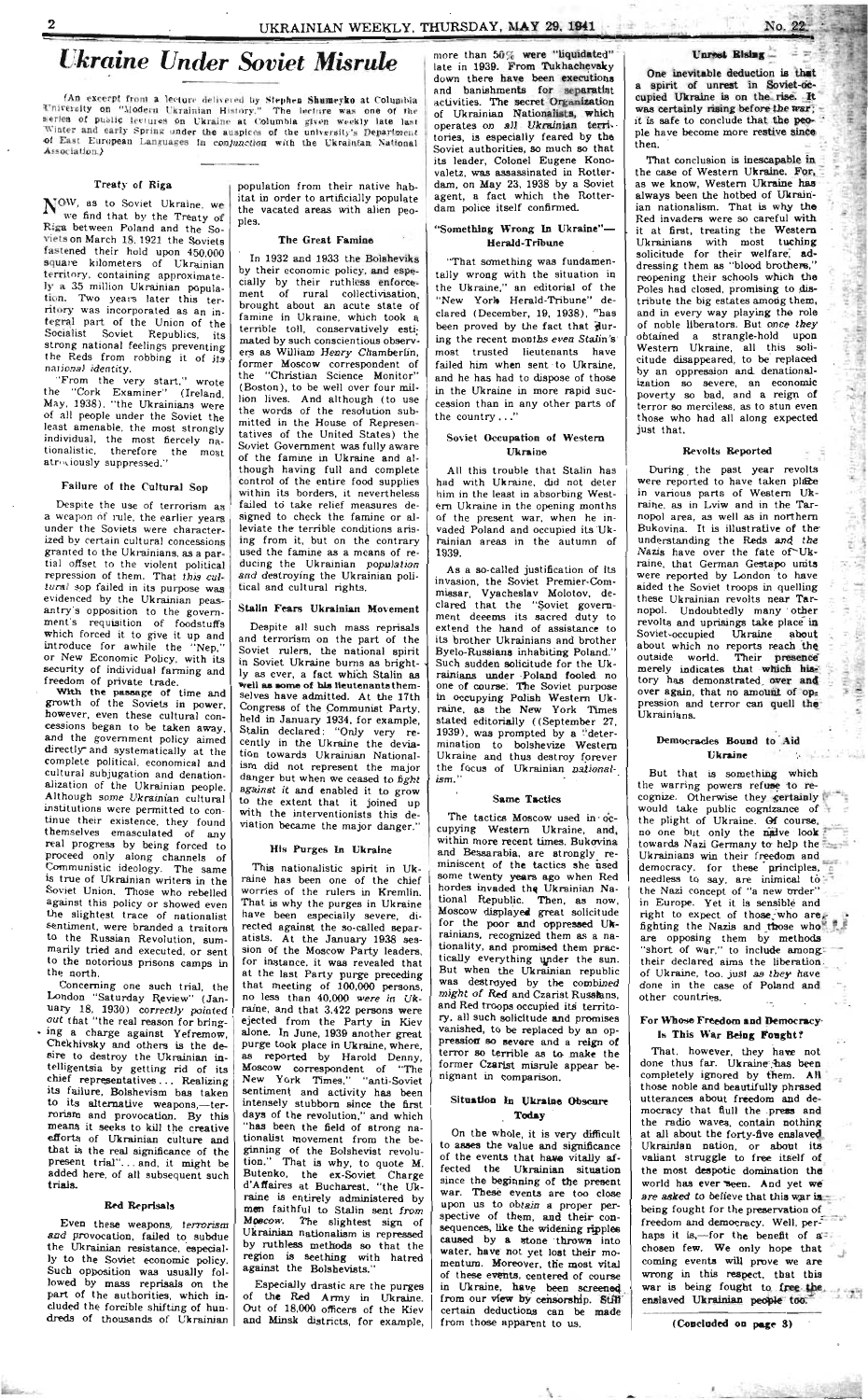# *Ukraine Under Soviet Misrule*

**(An excerpt from a lecture** delivered **by** s**>|>hi**·n **Shumeyko at** Columbia **University on "Modern Ukrainian History." The lecture was one of the**  series of public lectures on Ukraine at Columbia given weekly late last **Winter and early Spring under the auspices of the university's Department**  of East European Languages in conjunction with the Ukrainian National **Association.)** 

#### Treaty of Riga

 $N^{OW}$ , as to Soviet Ukraine, we we find that by the Treaty of Riga between Poland and the So \nets on March 18,1921 the Soviets fastened their hold upon 450,000 square kilometers of Ukrainian territory, containing approximately a 35 million Ukrainian population. Two years later this territory was incorporated as an integral part of the Union of the Socialist Soviet Republics, its strong national feelings preventing the Reds from robbing it of its national identity.

"From the very start," wrote the "Cork Examiner" (Ireland. May. 1938). "the Ukrainians were of all people under the Soviet the least amenable, the most strongly individual, the most fiercely nationalistic, therefore the most atrociously suppressed."

Despite the use **of** terrorism as a weapon **of** rule, the earlier years under the Soviets were characterized by certain cultural concessions granted to the Ukrainians, as a partial offset **to** the violent political repression of them. That this cultural sop failed in its purpose was evidenced by the Ukrainian peasantry's opposition to the government's requisition of foodstuffs which forced it to give it up and introduce for awhile the "Nep, " or New Economic Policy, with its security of individual farming and freedom of private trade.

#### Failure of the Cultural Sop

With the passage of time and growth of the Soviets in power, however, even these cultural concessions began to be taken away, and the government policy aimed directly" and systematically at the complete political, economical and cultural subjugation and denationalization of the Ukrainian people. Although some Ukrainian cultural institutions were permitted to continue their existence, they found themselves emasculated of any real progress by being forced to proceed only along channels of Communistic ideology. The same is true of Ukrainian writers in the Soviet Union. Those who rebelled against this policy or showed even the slightest trace of nationalist sentiment, were branded a traitors to the Russian Revolution, summarily tried and executed, or sent to the notorious prisons camps in the north. Concerning one such trial, the London "Saturday Review" (January 18, 1930) correctly pointed out that "the real reason for bring-·» ing a charge against Yefremow, Chekhivsky and others is the desire to destroy the Ukrainian intelligentsia by getting rid of its chief representatives .. . Realizing its failure, Bolshevism has taken to its alternative weapons,-terrorism and provocation. By this means it seeks to kill the creative efforts of Ukrainian culture and that is the real significance of the present trial".. . and. it might be added here, of all subsequent such trials.

#### **Red Reprisals**

Especially drastic are the purges of the Red Army in Ukraine. Out of 18.000 officers of the Kiev and Minsk districts, for example,

Even these weapons, terrorism and provocation, failed to subdue the Ukrainian resistance, especially to the Soviet economic policy. Such opposition was usually followed by mass reprisals on the part of the authorities, which included the forcible shifting of hundreds of thousands of Ukrainian

**Replaced** 

population from their native habitat in order to artificially populate the vacated areas with alien peoples.

#### The Great Famine

All this trouble that Stalin has had with Ukraine, did not deter him in the least in absorbing Western Ukraine in the opening months of the present war, when he invaded Poland and occupied its Ukrainian areas in the autumn of 1939.

In 1932 and 1933 the Bolsheviks by their economic policy, and especially by their ruthless enforcement of rural collectivisation, brought about an acute state of famine in Ukraine, which took a terrible toll, conservatively estimated by such conscientious observers as William Henry Chamberlin, former Moscow correspondent of the "Christian Science Monitor" (Boston), to be well over four million lives. And although (to use the words of the resolution submitted in the House of Representatives of the United States) the Soviet Government was fully aware of the famine in Ukraine and although having full and complete control of the entire food supplies within its borders, it nevertheless failed to take relief measures designed to check the famine or alleviate the terrible conditions arising from it, but on the contrary used the famine as a means of reducing the Ukrainian population and destroying the Ukrainian political and cultural rights.

As a so-called justification of its invasion, the Soviet Premier-Commissar, Vyacheslav Molotov, declared that the "Soviet government deeems its sacred duty to extend the hand of assistance to its brother Ukrainians and brother Byelo-Russians inhabiting Poland." Such sudden solicitude for the Ukrainians under Poland fooled no one of course. The Soviet purpose in occupying Polish Western Ukraine, as the New York Times stated editorially ((September 27, 1939), was prompted by a "determination to bolshevize Western Ukraine and thus destroy forever the focus of Ukrainian nationalism."

The tactics Moscow used in  $oc$ cupying Western Ukraine, and, within more recent times, Bukovina and Bessarabia, are strongly reminiscent of the tactics she used some twenty years ago when Red hordes invaded the Ukrainian National Republic. Then, as now, Moscow displayed great solicitude for the poor and oppressed Ukrainians, recognized them as a nationality, and promised them practically everything under the sun. But when the Ukrainian republic was destroyed by the combined might of Red and Czarist Russians, and Red troops occupied its territory, all such solicitude and promises vanished, to be replaced by an oppression so severe and a reign of terror so terrible as to make the former Czarist misrule appear benignant in comparison.

#### Stalin Fears Ukrainian Movement

Despite all such mass reprisals and terrorism on the part of the Soviet rulers, the national spirit in Soviet Ukraine burns as brightly as ever, a fact which Stalin as well **a s som e** of **hie** lieutenants themselves have admitted. At the 17th Congress of the Communist Party, held in January 1934, for example, Stalin declared: "Only very recently in the Ukraine the deviation towards Ukrainian Nationalism did not represent the major danger but when we ceased to fight against it and enabled it to grow to the extent that it joined up with the interventionists this deviation became the major danger."

One inevitable deduction is that **a** spirit of unrest in Soviet-occupied Ukraine is on the rise. It was certainly rising before the war; it is safe to conclude that the peopie have become more restive since then.

#### His Purges In Ukraine

That conclusion is inescapable in the case of Western Ukraine. For, a s we know, Western Ukraine **has**  always been the hotbed of Ukrainian nationalism. That is why the Red invaders were so careful with it at first, treating the Western Ukrainians with most tuching solicitude for their welfare, **ad**dressing them as "blood brothers," reopening their schools which the Poles had closed, promising to distribute the big estates among them, and in every way playing the role of noble liberators. But once they obtained a strangle·hold upon Western Ukraine, all this solicitude disappeared, to be replaced by an oppression and denationalization so severe, an economic poverty so bad, and a reign of terror so merciless, as to stun even those who had all along expected just that.

During the past year revolts were reported to have taken place in various parts of Western Ukraine, as in Lviw and in the Tarnopol area, as well as in northern Bukovina. It is illustrative of the understanding the Reds and the Nazis have over the fate of^Ukraine, that German Gestapo units were reported by London to have aided the Soviet troops in quelling these Ukrainian revolts near Tarnopol. Undoubtedly many other revolts and uprisings take place in Soviet-occupied Ukraine about about which no reports reach the outside world. Their presence merely indicates that which history has demonstrated over and over again, that no amount of  $op_z$ pression and terror can quell **the**  Ukrainians.

#### Democracies Bound to Aid **Ukraine**

This nationalistic spirit in Ukraine has been one of the chief worries of the rulers in Kremlin. That is why the purges in Ukraine have been especially severe, directed against the so-called separatists. At the January 1938 session of the Moscow Party leaders, for instance, it was revealed that at the last Party purge preceding that meeting of  $100,000$  persons, no less than 40,000 were in Ukraine, and that  $3.422$  persons were ejected from the Party in Kiev alone. In June, 1939 another great purge took place in Ukraine, where, as reported by Harold Denny, Moscow correspondent of "The New York Times," "anti-Soviet sentiment and activity has been intensely stubborn since the first days of the revolution," and which "has been the field of strong nationalist movement from the beginning of the Bolshevist revolution." That is why, to quote M. Butenko, the ex-Soviet Charge d'Affaires at Bucharest, "the Ukraine is entirely administered by men faithful to Stalin sent from Moscow. The slightest sign of Ukrainian nationalism is repressed by ruthless methods so that the region ia seething with hatred against the Bolshevists."

But that is something which the warring powers refuse to recognize. Otherwise they certainly would take public cognizance of the plight of Ukraine. Of course, no one but only the naive look towards Nazi Germany to help the Ukrainians win their freedom and democracy, for these principles, needless to say, are inimical to the Nazi concept of "a new order" in Europe. Yet it is sensible and right to expect of those who are $\epsilon$ fighting the Nazis and those who are opposing them by methods "short of war," to include amongtheir declared aims the liberation of Ukraine, too, just as they have done in the case of Poland and other countries.

#### For Whose Freedom and Democracy Is This War Being Fought?

That, however, they have not done thus far. Ukraine has been completely ignored by them. All those noble and beautifully phrased utterances about freedom and democracy that fiull the press and the radio waves, contain nothing at all about the forty-five enslaved Ukrainian nation, or about its **valiant** struggle to free itself of the most despotic domination the world has ever'\*seen. And yet **we**  are asked to believe that this war is being fought for the preservation of freedom and democracy. Well, perhaps it is,-for the benefit of a chosen few. We only hope that coming events will prove we are wrong in this respect, that this war is being fought to free the enslaved Ukrainian people too.

more than 50% were "liquidated" late in 1939. From Tukhachevaky down there have been executions and banishments for separatist activities. The secret Organization of Ukrainian Nationalists, which operates on all Ukrainian territories, is especially feared by the Soviet authorities, so much so that its leader, Colonel Eugene Konovaletz, was assassinated in Rotterdam, on May 23, 1938 by a Soviet agent, a fact which the Rotterdam police itself confirmed.

#### ''Something Wrong In Ukraine"— Herald-Tribune

"That something was fundamentally wrong with the situation in the Ukraine," an editorial of the "New York Herald-Tribune" declared (December, 19, 1938), "has been proved by the fact that during the recent months even Stalin's most trusted lieutenants have failed him when sent to Ukraine, and he has had to dispose of those in the Ukraine in more rapid succession than in any other parts of the country ..."

#### Soviet Occupation of Western Ukraine

#### Same Tactics

#### Situation In Ukraine Obscure Today

On the whole, it is very difficult to asses the value and significance of the events that have vitally affected the Ukrainian situation since the beginning of the present war. These events are too close upon us to obtain a proper perspective of them, and their consequences, like the widening ripples caused by a stone thrown into water, have not yet lost their momentum. Moreover, the most vital of these events, centered of course in Ukraine, have been screened from our view by censorship. Still certain deductions can be made from those apparent to us.

Λ.

**~ \* -**

五百

#### **Unreal Rising**

#### Revolts Reported

**(Concluded** on **page 3)**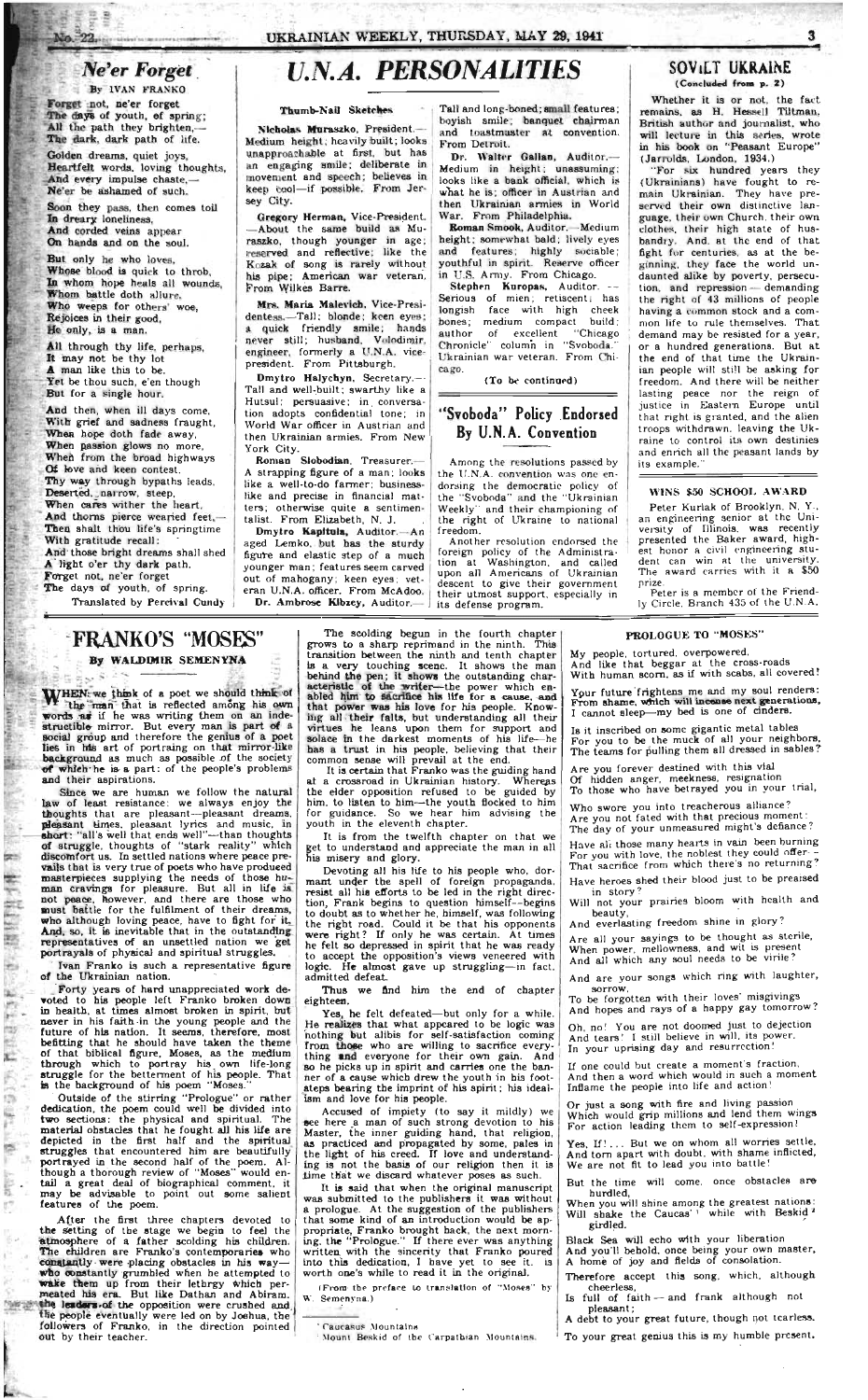### $Ne'$ er *Forget*

• j

 $n - 22$ 

By **IVAN FRANKO** 

Forget not, ne'er forget The days of youth, of spring; All the path they brighten,— The dark, dark path of life.

Golden dreams, quiet joys. Heartfelt words, loving thoughts, And every impulse chaste.-Ne'er be ashamed of such.

Soon they pass, then comes toil In dreary loneliness. And corded veins appear On hands and on the soul.

But only he who loves. Whose blood is quick to throb, In whom hope heals all wounds, Whom battle doth allure. Who weeps for others' woe, Rejoices in their good, He only, is a man.

All through thy life, perhaps, It may not be thy lot **A** man like this to be. Yet be thou such, e'en though But for a single hour.

Gregory Herman, Vice-President. —About the same build as Muraszko. though younger in age ; reserved and reflective; like the Kozak of song is rarely without his pipe; American war veteran. From Wilkes Barre.

And then, when ill days come. With grief and sadness fraught, When hope doth fade away, When passion glows no more, When from the broad highways Of love and keen contest. *Thy* way through bypaths leads. Deserted, narrow, steep, When cares wither the heart. And thorns pierce wearied feet,— Then shalt thou life's springtime With gratitude recall: And those bright dreams shall shed A light o'er thy dark path. Forget not, ne'er forget The days of youth, of spring. Translated by Percival Cundy

Roman Slobodian. Treasurer.-A strapping figure of a man; looks like a well-to-do farmer; businesslike and precise in financial matters; otherwise quite a sentimentalist. From Elizabeth, N. J.

# *U.N.A. PERSONALITIES*

#### Thumb-Nail Sketches

Nicholas Muraszko. President.— Medium height; heavily built; looks unapproachable at first, but has an engaging smile: deliberate in movement and speech; believes in keep tool—if possible. From Jersey City.

> Roman Smook, Auditor.--Medium height; somewhat bald; lively eyes and features; highly sociable; youthful in spirit. Reserve officer in U.S. Army. From Chicago.

> Stephen Kuropas, Auditor. --Serious of mien; retiscent; has longish face with high cheek bones; medium compact build; author of excellent "Chicago Chronicle" column in "Svoboda." Ukrainian war veteran. From Chicago.

Mrs. Maria Malevich. Vice-Presidentess.-Tall; blonde; keen eyes; a quick friendly smile; hands never still; husband, Volodimir. engineer, formerly a U.N.A. vicepresident. From Pittsburgh.

Whether it is or not, the fact. remains, as H. Hessell Tiltman. British author and journalist, who will lecture in this series, wrote in his book on "Peasant Europe" (Jarrolds, London, 1934.)

Dmytro Halychyn, Secretary.— Tall and well-built; swarthy like a Hutsul; persuasive; in conversation adopts confidential tone; in World War officer in Austrian and then Ukrainian armies. From New York City.

Dmytro Kapitula, Auditor. An aged Lemko. but has the sturdy figure and elastic step of a much younger man; features seem carved out of mahogany; keen eyes; veteran U.N.A. officer. From McAdoo. Dr. Ambrose Kibzey, Auditor.—

"For six hundred years they (Ukrainians) have fought to remain Ukrainian. They have preserved their own distinctive language, their own Church, their own clothes, their high state of husbandry. And. at the end of that fight for centuries, as at the beginning, they face the world undaunted alike by poverty, persecution, and repression-demanding the right of 43 millions of people having a common stock and a common life to rule themselves. That demand may be resisted for a year, or a hundred generations. But at the end of that time the Ukrainian people will still be asking for freedom. And there will be neither lasting peace nor the reign of justice in Eastern Europe until that right is granted, and the alien troops withdrawn, leaving the Ukraine to control its own destinies and enrich all the peasant lands by its example."

Tall and long-boned; small features; boyish smile; banquet chairman and toastmaster at convention. From Detroit.

Dr. Walter Gallsn, Auditor. Medium in height; unassuming: looks like a bank official, which is what he is; officer in Austrian and then Ukrainian armies in World War. From Philadelphia.

WHEN we think of a poet we should think of the man that is reflected among his own words as if he was writing them on an indestructible mirror. But every man is part of a social group and therefore the genius of a poet lies in his art of portraing on that mirror-like background as much as possible of the society of which he is a part: of the people's problems and their aspirations.

Since we are human we follow the natural law of least resistance: we always enjoy the thoughts that are pleasant—pleasant dreams, pleasant times, pleasant lyrics and music, in short: "all's well that ends well"—than thoughts **of** struggle, thoughts of "stark reality" which discomfort us. In settled nations where peace prevails that is very true of poets who have produced masterpieces supplying the needs of those human cravings for pleasure. But all in life is not peace, however, and there are those who must battle for the fulfilment of their dreams, who although loving peace, have to fight for it. And, so, it is inevitable that in the outstanding representatives of an unsettled nation we get portrayals of physical and spiritual struggles.

(To be continued)

#### *IT* Svoboda" Policy Endorsed By U.N.A. Convention

Among the resolutions passed by the U.N.A. convention was one endorsing the democratic policy of the "Svoboda" and the "Ukrainian Weekly" and their championing of the right of Ukraine to national freedom.

Another resolution endorsed the foreign policy of the Administration at Washington, and called upon all Americans of Ukrainian descent to give their government their utmost support, especially in its defense program.

Outside of the stirring "Prologue" or rather dedication, the poem could well be divided into two sections: the physical and spiritual. The material obstacles that he fought all his life are depicted in the first half and the spiritual struggles that encountered him are beautifully portrayed in the second half of the poem. Although a thorough review of "Moses" would entail a great deal of biographical comment, it may be advisable to point out some salient features of the poem.

#### **SOViLT UKRAINE (Concluded from p. 2 )**

The scolding begun in the fourth chapter grows to a sharp reprimand in the ninth. This transition between the ninth and tenth chapter is a very touching scene. It shows the man behind the pen; it shows the outstanding characteristic of the writer—the power which enabled him to sacrifice his life for a cause, and that power was his love for his people. Knowing all their falts, but understanding all their virtues he leans upon them for support and solace in the darkest moments of his life—he has a trust in his people, believing that their common sense will prevail at the end.

It is certain that Franko was the guiding hand at a crossroad in Ukrainian history. Whereas the elder opposition refused to be guided by him. to listen to him—the youth flocked to him for guidance. So we hear him advising the youth in the eleventh chapter.

It is from the twelfth chapter on that we get to understand and appreciate the man in all his misery and glory.

Thus we find him the end of chapter eighteen.

#### WINS \$50 SCHOOL AWARD

Accused **of** impiety (to say it mildly) we see here a man **of** such strong devotion **to** his Master, the inner guiding hand, that religion, as practiced and propagated by some, pales in the light **of** his creed. If love and understanding is not the basis **of** our religion then it is time that we discard whatever poses as such.

Peter Kurlak of Brooklyn. N. Y., an engineering senior at the University of Illinois, was recently presented the Baker award, highest honor a civil engineering student can win at the university. The award carries with it a \$50 prize.

Peter is a member of the Friendly Circle. Branch 435 of the U.N.A.

### **FRANKO'S "MOSES"**

#### **By WALDIMIR SEMENYNA**

**.¾\_ \*·.** *>\*-*

W., 敝 ю háy, E

B

ŵ

憾

ļ. É,

 $\frac{1}{2}$  or

It is said that when the original manuscript was submitted **to** the publishers it was without a prologue. At the suggestion **of** the publishers that some kind **of** an introduction would be appropriate, Franko brought back, the next morning, the "Prologue." If there ever was anything written with the sincerity that Franko poured into this dedication, I have yet **to** see it. is worth one's while **to** read it in the original.

(From the preface to translation of "Moses" by **W.** Semenyna.)

**Caucasus** Mountains

My people, tortured, overpowered. And like that beggar at the cross-roads With human scorn, as if with scabs, all covered!

Your future frightens me and my soul renders: From shame, which will incense next generations, I cannot sleep—my bed is one of cinders.

Is it inscribed on some gigantic metal tables For you to be the muck of all your neighbors, The teams for pulling them all dressed in sables?

Oh, no! You are not doomed just to dejection And tears! I still believe in will, its power. In your uprising day and resurrection!

Yes, If!... But we on whom all worries settle. And torn apart with doubt, with shame inflicted, We are not fit to lead you into battle!

But the time will come, once obstacles are hurdled,

Ivan Franko is such a representative figure **of** the Ukrainian nation.

Forty years of hard unappreciated work devoted to his people left Franko broken down in health, at times almost broken in spirit, but never in his faith ·in the young people and the future of his nation. It seems, therefore, most befitting that he should have taken the theme of that biblical figure, Moses, as the medium through which to portray his own life-long struggle for the betterment of his people. That is the background of his poem "Moses."

After the first three chapters devoted to the setting of the stage we begin to feel the atmosphere of a father scolding his children. The children are Franko's contemporaries who constantly were placing obstacles in his way who constantly grumbled when he attempted to wake them up from their lethrgy which permeated his era. But like Dathan and Abiram. the leaders of the opposition were crushed and the people eventually were led on by Joshua, the followers of Franko, in the direction pointed out by their teacher.

Devoting all his life to his people who, dormant under the spell of foreign propaganda, resist all his efforts to be led in the right direction, Frank begins to question himself—begins to doubt as to whether he, himself, was following the right road. Could it be that his opponents were right? If only he was certain. At times he felt so depressed in spirit that he was ready to accept the opposition's views veneered with logic. He almost gave up struggling—in fact, admitted defeat.

Yes, he felt defeated—but only for a while. He realizes that what appeared to be logic was nothing but alibis for self-satisfaction coming from those who are willing **to** sacrifice everything and everyone for their own gain. And so he picks up in spirit and carries one the banner **of** a cause which drew the youth in his footsteps bearing the imprint **of** his spirit; his idealism and love for his people.

**Mount Beskid of the** C**\*arpathian Mountains.** 

And everlasting freedom shine in glory?

#### PROLOGUE TO "MOSES"

Are you forever destined with this vial Of hidden anger, meekness, resignation To those who have betrayed you in your trial.

Who swore you into treacherous alliance? Are you not fated with that precious moment: The day of your unmeasured might's defiance?

Have all those many hearts in vain been burning For you with love, the noblest they could offer - That sacrifice from which there's no returning?

Have heroes shed their blood just to be preaised in story?

Will not your prairies bloom with health and

beauty,

Are all your sayings to be thought as sterile, When power, mellowness, and wit is present And all which any soul needs to be virile?

And are your songs which ring with laughter, sorrow,

To be forgotten with their loves' misgivings And hopes and rays of a happy gay tomorrow?

If one could but create a moment's fraction. And then a word which would in such a moment Inflame the people into life and action!

Or just a song with fire and living passion Which would grip millions and lend them wings For action leading them to self-expression!

When you will shine among the greatest nations: Will shake the Caucas'' while with Beskig. girdled.

Black Sea will echo with your liberation And you'll behold, once being your own master, A home of joy and fields of consolation.

Therefore accept this song, which, although cheerless,

Is full of faith — and frank although not pleasant;

A debt to your great future, though not tearless.

To your great genius this is my humble present.